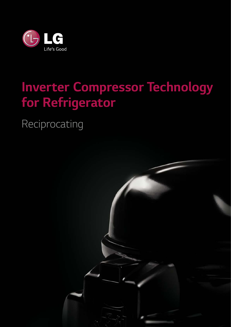

## *Inverter Compressor Technology for Refrigerator*

*Reciprocating*

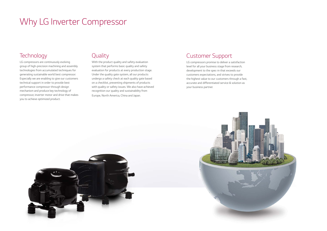### *Technology*

*LG compressors are continuously evolving group of high-precision machining and assembly technologies from accumulated techniques for generating sustainable world best compressor. Especially we are enabling to give our customers technical support in order to provide best performance compressor through design mechanism and produce key technology of compressor, inverter motor and drive that makes you to achieve optimized product.* 

### *Customer Support*

*LG compressors promise to deliver a satisfaction level for all your business stage from research, development to the spec-in that exceeds our customers expectations, and strives to provide the highest value to our customers through a fast, accurate and differentiated service & solution as your business partner.*





### *Quality*

*With the product quality and safety evaluation system that performs basic quality and safety evaluation for products at every production stage. Under the quality gate system, all our products undergo a safety check at each quality gate based on a checklist, preventing shipments of products with quality or safety issues. We also have achieved recognition our quality and sustainability from Europe, North America, China and Japan.* 

## *Why LG Inverter Compressor*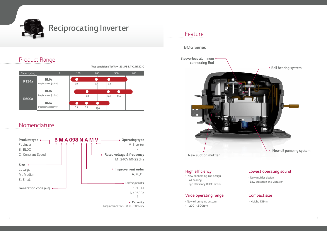

## *Reciprocating Inverter*

### *Nomenclature*

### *Feature*

#### *BMG Series*

*Sleeve-less aluminum connecting Rod*



#### **High efficiency**

- *New connecting-rod design*
- *Ball bearing*
- High efficiency BLDC motor



#### *Wide operating range*

- *New oil pumping system*
- *1,200~4,500rpm*

#### *Lowest operating sound*

- New muffler design
- *Low pulsation and vibration*

#### *Compact size*

• *Height 139mm*



**New suction muffler**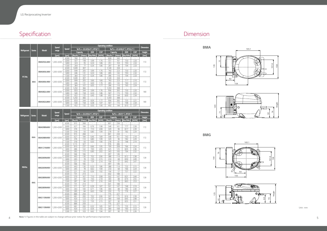*154*

|             |            |                                 |                       |                   |                                                    |            |                          |                          | Operating condition                                  |            |                         |                | <b>Dimension</b> |  |
|-------------|------------|---------------------------------|-----------------------|-------------------|----------------------------------------------------|------------|--------------------------|--------------------------|------------------------------------------------------|------------|-------------------------|----------------|------------------|--|
| Refrigerant | Series     | <b>Model</b>                    | <b>Speed</b><br>range | <b>Speed</b>      | Te/Tc = -23.3/54.4 $^{\circ}$ C, RT32 $^{\circ}$ C |            |                          |                          | Te/Tc = -23.3/40.6 $^{\circ}$ C, RT32.2 $^{\circ}$ C |            |                         |                |                  |  |
|             |            |                                 |                       |                   |                                                    | Capacity   | <b>EER</b>               | <b>COP</b>               |                                                      | Capacity   | <b>EER</b>              | <b>COP</b>     | Height           |  |
|             |            |                                 | [ <i>rpm</i> ]        | [ <sub>pm</sub> ] | [Btu/hr]                                           | [Watts]    | [Btu/Whr]                | [W/W]                    | [Btu/hr]                                             |            | [Watts] [Btu/Whr] [W/W] |                | [mm]             |  |
|             |            | <b>BMA050LAMV</b><br>BMA069LAMV | 1,200~4,500           | 4,500             | 760                                                | 223        |                          | $\overline{\phantom{a}}$ | 826                                                  | 242        |                         |                | 172              |  |
|             |            |                                 |                       | 3,000             | 507                                                | 148        | 5.99                     | 1.76                     | 551                                                  | 161        | 7.50                    | 2.20           |                  |  |
|             |            |                                 |                       | 1.800             | 323                                                | 95         | 6.33                     | 1.86                     | 351                                                  | 103        | 7.93                    | 2.32           |                  |  |
|             |            |                                 |                       | 1,500             | 264                                                | 77         | 6.34                     | 1.86                     | 287                                                  | 84         | 7.94                    | 2.33           |                  |  |
|             |            |                                 | 1,200~4,500           | 4,500<br>3,000    | 1,049<br>699                                       | 307<br>205 | $\sim$<br>5.99           | $\sim$<br>1.76           | 1,140<br>760                                         | 334<br>223 | $\sim$<br>7.50          | $\sim$<br>2.20 | 172              |  |
|             |            |                                 |                       | 1.800             | 446                                                | 131        | 6.33                     | 1.86                     | 485                                                  | 142        | 7.93                    | 2.32           |                  |  |
|             |            |                                 |                       | 1,500             | 364                                                | 107        | 6.34                     | 1.86                     | 396                                                  | 116        | 7.94                    | 2.33           |                  |  |
| R134a       |            |                                 |                       | 4,500             | 1,049                                              | 307        | $\sim$                   | $\sim$                   | 1,140                                                | 334        | $\sim$                  | $\sim$         |                  |  |
|             | <b>BMA</b> | BMA069LHMV                      | 1,200~4,500           | 3,000             | 699                                                | 205        | 5.66                     | 1.66                     | 760                                                  | 223        | 7.17                    | 2.10           | 172              |  |
|             |            |                                 |                       | 1,800             | 446                                                | 131        | 6.00                     | 1.76                     | 485                                                  | 142        | 7.60                    | 2.23           |                  |  |
|             |            |                                 |                       | 1,500             | 364                                                | 107        | 6.05                     | 1.77                     | 396                                                  | 116        | 7.65                    | 2.24           |                  |  |
|             |            |                                 |                       | 4,500             | 1,250                                              | 366        | $\overline{\phantom{a}}$ | $\sim$                   | 1.359                                                | 398        | $\sim$                  | $\sim$         |                  |  |
|             |            | BMA082LAMV                      | 1,200~4,500           | 3,000             | 833                                                | 244        | 5.99                     | 1.76                     | 906                                                  | 265        | 7.50                    | 2.20           | 180              |  |
|             |            |                                 |                       | 1,800<br>1.500    | 540<br>452                                         | 158<br>132 | 6.33<br>6.40             | 1.86<br>1.88             | 587<br>492                                           | 172<br>144 | 7.93<br>8.00            | 2.32<br>2.34   |                  |  |
|             |            |                                 |                       |                   |                                                    |            |                          |                          |                                                      |            |                         |                |                  |  |



*135 149* 

*71* 

*BMA*



*BMG*

*149 135*

 $49$ 

**135** 



*92*

*21 21*

*71 77*



*Unit : mm*

*4*

|              |               |                   |                       |                | <b>Operating condition</b>                         |               |                          |             |                                               |           |               |                          |               |  |
|--------------|---------------|-------------------|-----------------------|----------------|----------------------------------------------------|---------------|--------------------------|-------------|-----------------------------------------------|-----------|---------------|--------------------------|---------------|--|
|              |               | <b>Model</b>      | <b>Speed</b><br>range | <b>Speed</b>   | Te/Tc = -23.3/54.4 $^{\circ}$ C, RT32 $^{\circ}$ C |               |                          |             | Te/Tc = $-29/31^{\circ}$ C, RT25 $^{\circ}$ C |           |               |                          | Dimension     |  |
| Refrigerant  | <b>Series</b> |                   |                       |                | Capacity                                           |               | <b>EER</b>               | <b>COP</b>  | Capacity                                      |           | <b>EER</b>    | <b>COP</b>               | <b>Height</b> |  |
|              |               |                   | [ <sub>rpm</sub> ]    | [rpm]          | <b>Btu/hrl</b>                                     | <b>Natts1</b> | [Btu/Whr]                | <b>M/WI</b> | <b>IBtu/hr1</b>                               | [Watts]   | [Btu/Whr]     | <b>NWW</b>               | [mm]          |  |
|              |               |                   |                       | 4,500          | 915                                                | 268           | ÷,                       | ÷.          | 801                                           | 234       | $\sim$        | $\overline{\phantom{a}}$ |               |  |
|              |               | BMA098NAMV        |                       | 3,000          | 627                                                | 184           | 6.76                     | 1.98        | 548                                           | 161       | 7.77          | 2.28                     | 172           |  |
|              |               |                   | 1,200~4,500           | 1,800          | 376                                                | 110           | 7.10                     | 2.08        | 329                                           | 96        | 8.17          | 2.39                     |               |  |
|              |               |                   |                       | 1,500          | 318                                                | 93            | 6.80                     | 1.99        | 278                                           | 81        | 7.82          | 2.29                     |               |  |
|              |               |                   |                       | 4,500          | 915                                                | 268           | $\sim$                   |             | 801                                           | 234       | $\sim$        | $\sim$                   |               |  |
|              | <b>BMA</b>    | BMA098NHMV        | 1,200~4,500           | 3,000          | 627                                                | 184           | 6.46                     | 1.89        | 548                                           | 161       | 7.43          | 2.18                     | 172           |  |
|              |               |                   |                       | 1,800          | 376                                                | 110           | 6.80                     | 1.99        | 329                                           | 96        | 7.82          | 2.29                     |               |  |
|              |               |                   |                       | 1,500          | 318                                                | 93            | 6.50                     | 1.90        | 278                                           | 81        | 7.48          | 2.19                     |               |  |
|              |               |                   |                       | 4,500          | 1,115                                              | 327           | $\sim$                   |             | 976                                           | 286       | $\bar{a}$     | $\overline{\phantom{a}}$ | 172           |  |
|              |               | BMA121NAMV        | 1,200~4,500           | 3,000          | 810                                                | 237           | 6.66                     | 1.95        | 709                                           | 208       | 7.66          | 2.24                     |               |  |
|              |               |                   |                       | 1,800          | 486                                                | 142           | 7.00                     | 2.05        | 425                                           | 125       | 8.05          | 2.36                     |               |  |
|              |               |                   |                       | 1,500          | 392                                                | 115           | 6.90                     | 2.02        | 343                                           | 100       | 7.94          | 2.32                     |               |  |
|              |               |                   |                       | 4,500          | 566                                                | 166           | $\overline{\phantom{a}}$ | ÷.          | 497                                           | 146       | $\mathcal{L}$ | ÷.                       |               |  |
|              |               | BMG069NAMV        | 1,200~4,500           | 3,000          | 443                                                | 130           | 7.02                     | 2.06        | 388                                           | 114       | 8.12          | 2.38                     | 139           |  |
|              |               |                   |                       | 1,800          | 265                                                | 78            | 7.35                     | 2.15        | 233                                           | 68        | 8.50          | 2.49                     |               |  |
|              |               |                   |                       | 1,500          | 221                                                | 65            | 7.29                     | 2.14        | 194                                           | 57        | 8.42          | 2.47                     |               |  |
|              |               |                   |                       | 4,500          | 566                                                | 166           |                          |             | 497                                           | 146       | L.            |                          | 139<br>139    |  |
| <b>R600a</b> |               | <b>BMG069NHMV</b> | 1.200~4.500           | 3,000          | 443                                                | 130           | 6.33                     | 1.86        | 388                                           | 114       | 7.32          | 2.15                     |               |  |
|              |               |                   |                       | 1,800          | 265                                                | 78            | 6.62                     | 1.94        | 233                                           | 68        | 7.66          | 2.24                     |               |  |
|              |               |                   |                       | 1,500          | 221                                                | 65            | 6.56                     | 1.92        | 194                                           | 57        | 7.57          | 2.22                     |               |  |
|              |               |                   |                       | 4,500          | 731<br>570                                         | 214           | $\sim$<br>7.10           | 2.08        | 642<br>502                                    | 188       | $\sim$        | $\sim$<br>244            |               |  |
|              |               | BMG089NAMV        | 1.200~4.500           | 3,000          | 341                                                | 167<br>100    | 7.43                     | 2.18        | 300                                           | 147<br>88 | 8.31<br>8.70  | 2.55                     |               |  |
|              |               |                   |                       | 1,800<br>1,500 | 287                                                | 84            | 7.37                     | 2.16        | 249                                           | 73        | 8.63          | 2.53                     |               |  |
|              | <b>BMG</b>    |                   |                       | 4,500          | 731                                                | 214           | $\sim$                   |             | 641                                           | 188       | $\sim$        | $\mathbf{r}$             |               |  |
|              |               |                   | 1,200~4,500           | 3,000          | 571                                                | 167           | 6.39                     | 1.87        | 501                                           | 147       | 7.48          | 2.19                     |               |  |
|              |               | BMG089NHMV        |                       | 1,800          | 343                                                | 100           | 6.71                     | 1.96        | 300                                           | 88        | 7.80          | 2.30                     | 139           |  |
|              |               |                   |                       | 1,500          | 285                                                | 84            | 6.63                     | 1.94        | 250                                           | 73        | 7.76          | 2.27                     |               |  |
|              |               |                   |                       | 4,500          | 884                                                | 259           | ä,                       |             | 775                                           | 227       |               |                          |               |  |
|              |               |                   |                       | 3,000          | 681                                                | 200           | 7.02                     | 2.06        | 597                                           | 175       | 8.16          | 2.39                     |               |  |
|              |               | <b>BMG110NAMV</b> | 1,200~4,500           | 1,800          | 420                                                | 123           | 7.27                     | 2.13        | 369                                           | 108       | 8.45          | 2.48                     | 139           |  |
|              |               |                   |                       | 1,500          | 350                                                | 103           | 7.35                     | 2.15        | 307                                           | 90        | 8.55          | 2.51                     |               |  |
|              |               |                   |                       | 4,500          | 884                                                | 259           | ÷.                       | ÷.          | 775                                           | 227       | $\mathcal{L}$ | ÷.                       |               |  |
|              |               |                   |                       | 3,000          | 681                                                | 200           | 6.32                     | 1.85        | 597                                           | 175       | 7.35          | 2.15                     |               |  |
|              |               | <b>BMG110NHMV</b> | 1.200~4.500           | 1,800          | 420                                                | 123           | 6.54                     | 1.92        | 369                                           | 108       | 7.60          | 2.23                     | 139           |  |
|              |               |                   |                       | 1.500          | 350                                                | 103           | 6.62                     | 1.94        | 307                                           | 90        | 7.70          | 226                      |               |  |

|                    |               |                   |                       |                   | Operating condition |         |                                                    |            |                                                      |         |            |            |                  |  |
|--------------------|---------------|-------------------|-----------------------|-------------------|---------------------|---------|----------------------------------------------------|------------|------------------------------------------------------|---------|------------|------------|------------------|--|
| <b>Refrigerant</b> | <b>Series</b> | <b>Model</b>      | <b>Speed</b><br>range | <b>Speed</b>      |                     |         | Te/Tc = -23.3/54.4 $^{\circ}$ C, RT32 $^{\circ}$ C |            | Te/Tc = -23.3/40.6 $^{\circ}$ C, RT32.2 $^{\circ}$ C |         |            |            | <b>Dimension</b> |  |
|                    |               |                   |                       |                   | Capacity            |         | <b>EER</b><br><b>COP</b>                           |            | Capacity                                             |         | <b>EER</b> | <b>COP</b> | <b>Height</b>    |  |
|                    |               |                   | [ <sub>rpm</sub> ]    | [ <sub>pm</sub> ] | [Btu/hr]            | [Watts] | [Btu/Whr]                                          | <b>M/W</b> | [Btu/hr]                                             | [Watts] | [Btu/Whr]  | [W/W]      | [mm]             |  |
|                    |               |                   |                       | 4,500             | 760                 | 223     |                                                    |            | 826                                                  | 242     |            |            |                  |  |
|                    |               | <b>BMA050LAMV</b> | 1,200~4,500           | 3,000             | 507                 | 148     | 5.99                                               | 1.76       | 551                                                  | 161     | 7.50       | 2.20       | 172              |  |
|                    |               |                   |                       | 1,800             | 323                 | 95      | 6.33                                               | 1.86       | 351                                                  | 103     | 7.93       | 2.32       |                  |  |
|                    |               |                   |                       | 1,500             | 264                 | 77      | 6.34                                               | 1.86       | 287                                                  | 84      | 7.94       | 2.33       |                  |  |
|                    |               |                   |                       | 4,500             | 1.049               | 307     |                                                    |            | .140                                                 | 334     |            |            | 172              |  |
|                    |               | BMA069LAMV        | 1,200~4,500           | 3,000             | 699                 | 205     | 5.99                                               | 1.76       | 760                                                  | 223     | 7.50       | 2.20       |                  |  |
|                    |               |                   |                       | 1,800             | 446                 | 131     | 6.33                                               | 1.86       | 485                                                  | 142     | 7.93       | 2.32       |                  |  |
| R134a              |               |                   |                       | 1,500             | 364                 | 107     | 6.34                                               | 1.86       | 396                                                  | 116     | 7.94       | 2.33       |                  |  |
|                    | <b>BMA</b>    |                   | 1,200~4,500           | 4,500             | 1.049               | 307     |                                                    |            | .140                                                 | 334     |            |            | 172              |  |
|                    |               | BMA069LHMV        |                       | 3,000             | 699                 | 205     | 5.66                                               | 1.66       | 760                                                  | 223     | 7.17       | 2.10       |                  |  |
|                    |               |                   |                       | 1,800             | 446                 | 131     | 6.00                                               | 1.76       | 485                                                  | 142     | 7.60       | 2.23       |                  |  |
|                    |               |                   |                       | 1,500             | 364                 | 107     | 6.05                                               | 1.77       | 396                                                  | 116     | 7.65       | 2.24       |                  |  |
|                    |               |                   |                       | 4,500             | 1,250               | 366     |                                                    |            | 1,359                                                | 398     |            |            |                  |  |
|                    |               | BMA082LAMV        | 1,200~4,500           | 3,000             | 833                 | 244     | 5.99                                               | 1.76       | 906                                                  | 265     | 7.50       | 2.20       | 180              |  |
|                    |               |                   |                       | 1,800             | 540                 | 158     | 6.33                                               | 1.86       | 587                                                  | 172     | 7.93       | 2.32       |                  |  |
|                    |               |                   |                       | 1,500             | 452                 | 132     | 6.40                                               | 1.88       | 492                                                  | 144     | 8.00       | 2.34       |                  |  |
|                    |               |                   |                       | 4,500             | 1.250               | 366     |                                                    |            | 359                                                  | 398     |            | ÷          |                  |  |
|                    |               | BMA082LBMV        | 1,200~4,500           | 3,000             | 833                 | 244     | 6.04                                               | 1.77       | 906                                                  | 265     | 7.55       | 2.21       | 180              |  |
|                    |               |                   |                       | 1,800             | 540                 | 158     | 6.38                                               | 1.87       | 587                                                  | 172     | 7.98       | 2.34       |                  |  |
|                    |               |                   |                       | 1,500             | 452                 | 132     | 6.50                                               | 1.90       | 492                                                  | 144     | 8.10       | 2.37       |                  |  |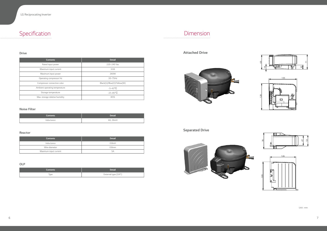Specification *Dimension*

| <b>Contents</b>                | <b>Detail</b>              |  |  |  |
|--------------------------------|----------------------------|--|--|--|
| Rated input power              | 220~240 Vac                |  |  |  |
| Maximum input current          | 3.0A                       |  |  |  |
| Maximum input power            | 260W                       |  |  |  |
| Operating compressor Hz        | 20~75Hz                    |  |  |  |
| Compressor connection color    | Black(U)/Blue(V)/Yellow(W) |  |  |  |
| Ambient operating temperature  | $-5 - 43$ °C               |  |  |  |
| Storage temperature            | $-25-85$ °C                |  |  |  |
| Max. storage relative humidity | 85%                        |  |  |  |

#### *Drive*

. . . . . . . . . . . . .

| <b>Contents</b> | <b>Detail</b> |
|-----------------|---------------|
| Inductance      | 4A, 26mH      |

#### *Noise Filter*

| <b>Contents</b>       | <b>Detail</b>     |
|-----------------------|-------------------|
| Inductance            | 0.8mH             |
| Wire diameter         | 0.8 <sub>mm</sub> |
| Maximum input current | 5A                |

#### *Reactor*

| <b>Contents</b> | <b>Detail</b>        |
|-----------------|----------------------|
| Type            | External type (3/4") |

*OLP*

*Attached Drive*

### *Separated Drive*











*Unit : mm*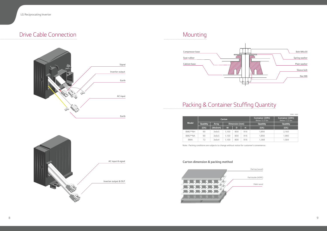# *Mounting Compressor base*

*Seat rubber*

*Cabinet base*

 $\begin{smallmatrix}&&1\\1&1&1&1&1&1&1&1&1&1&1&1&1&1&1&1&1\end{smallmatrix}$ 

### Packing & Container Stuffing Quantity







### *Drive Cable Connection*

|              |           |              | Carton |                | Container (20ft)<br>Below 15.3 Ton | Container (20ft)<br>Below 17.5 Ton |           |  |
|--------------|-----------|--------------|--------|----------------|------------------------------------|------------------------------------|-----------|--|
| <b>Model</b> | Quanitity | <b>Array</b> |        | Dimension (mm) |                                    | Quanitity                          | Quanitity |  |
|              | (EA)      | (WxDxH)      | W      | D              | н                                  | (EA)                               | (EA)      |  |
| BMG**NH      | 90        | 3x6x5        | 1.100  | 800            | 916                                | 1.890                              | 2,160     |  |
| BMG**NA      | 90        | 3x6x5        | 1.100  | 800            | 916                                | 1.890                              | 1,980     |  |
| <b>BMA</b>   | 72        | 3x6x4        | 1.100  | 800            | 916                                | 1,368                              | 1,584     |  |

V

*Note : Packing conditions are subjects to change without notice for customer's convenience.*

#### *Carton dimension & packing method*



*Pallet wood*

*Pad top (wood)*

*Pad double (HDPE)*

*Unit : mm*